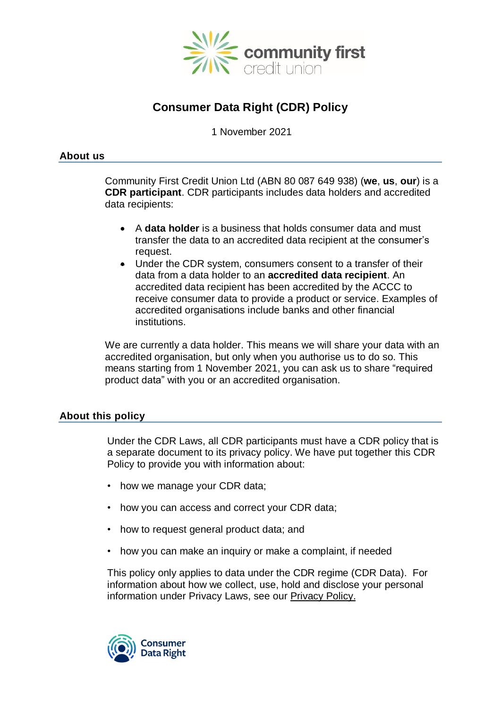

# **Consumer Data Right (CDR) Policy**

1 November 2021

## **About us**

Community First Credit Union Ltd (ABN 80 087 649 938) (**we**, **us**, **our**) is a **CDR participant**. CDR participants includes data holders and accredited data recipients:

- A **data holder** is a business that holds consumer data and must transfer the data to an accredited data recipient at the consumer's request.
- Under the CDR system, consumers consent to a transfer of their data from a data holder to an **accredited data recipient**. An accredited data recipient has been accredited by the ACCC to receive consumer data to provide a product or service. Examples of accredited organisations include banks and other financial institutions.

We are currently a data holder. This means we will share your data with an accredited organisation, but only when you authorise us to do so. This means starting from 1 November 2021, you can ask us to share "required product data" with you or an accredited organisation.

## **About this policy**

Under the CDR Laws, all CDR participants must have a CDR policy that is a separate document to its privacy policy. We have put together this CDR Policy to provide you with information about:

- how we manage your CDR data;
- how you can access and correct your CDR data;
- how to request general product data; and
- how you can make an inquiry or make a complaint, if needed

This policy only applies to data under the CDR regime (CDR Data). For information about how we collect, use, hold and disclose your personal information under Privacy Laws, see our [Privacy](https://communityfirst.com.au/support/important-information/privacy-policy) Policy.

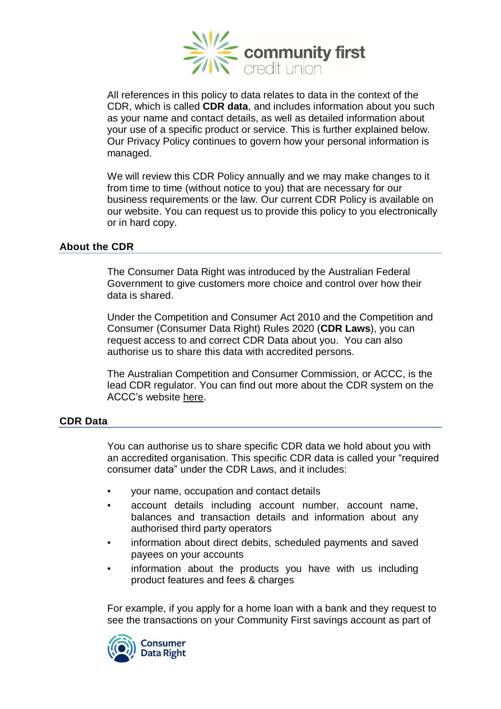

All references in this policy to data relates to data in the context of the CDR, which is called **CDR data**, and includes information about you such as your name and contact details, as well as detailed information about your use of a specific product or service. This is further explained below. Our Privacy Policy continues to govern how your personal information is managed.

We will review this CDR Policy annually and we may make changes to it from time to time (without notice to you) that are necessary for our business requirements or the law. Our current CDR Policy is available on our website. You can request us to provide this policy to you electronically or in hard copy.

## **About the CDR**

The Consumer Data Right was introduced by the Australian Federal Government to give customers more choice and control over how their data is shared.

Under the Competition and Consumer Act 2010 and the Competition and Consumer (Consumer Data Right) Rules 2020 (**CDR Laws**), you can request access to and correct CDR Data about you. You can also authorise us to share this data with accredited persons.

The Australian Competition and Consumer Commission, or ACCC, is the lead CDR regulator. You can find out more about the CDR system on the ACCC's website [here.](https://www.accc.gov.au/)

# **CDR Data**

You can authorise us to share specific CDR data we hold about you with an accredited organisation. This specific CDR data is called your "required consumer data" under the CDR Laws, and it includes:

- your name, occupation and contact details
- account details including account number, account name, balances and transaction details and information about any authorised third party operators
- information about direct debits, scheduled payments and saved payees on your accounts
- information about the products you have with us including product features and fees & charges

For example, if you apply for a home loan with a bank and they request to see the transactions on your Community First savings account as part of

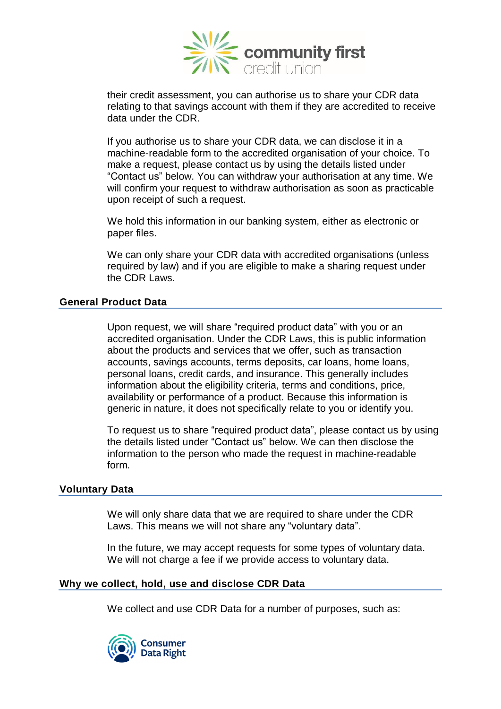

their credit assessment, you can authorise us to share your CDR data relating to that savings account with them if they are accredited to receive data under the CDR.

If you authorise us to share your CDR data, we can disclose it in a machine-readable form to the accredited organisation of your choice. To make a request, please contact us by using the details listed under "Contact us" below. You can withdraw your authorisation at any time. We will confirm your request to withdraw authorisation as soon as practicable upon receipt of such a request.

We hold this information in our banking system, either as electronic or paper files.

We can only share your CDR data with accredited organisations (unless required by law) and if you are eligible to make a sharing request under the CDR Laws.

## **General Product Data**

Upon request, we will share "required product data" with you or an accredited organisation. Under the CDR Laws, this is public information about the products and services that we offer, such as transaction accounts, savings accounts, terms deposits, car loans, home loans, personal loans, credit cards, and insurance. This generally includes information about the eligibility criteria, terms and conditions, price, availability or performance of a product. Because this information is generic in nature, it does not specifically relate to you or identify you.

To request us to share "required product data", please contact us by using the details listed under "Contact us" below. We can then disclose the information to the person who made the request in machine-readable form.

## **Voluntary Data**

We will only share data that we are required to share under the CDR Laws. This means we will not share any "voluntary data".

In the future, we may accept requests for some types of voluntary data. We will not charge a fee if we provide access to voluntary data.

#### **Why we collect, hold, use and disclose CDR Data**

We collect and use CDR Data for a number of purposes, such as:

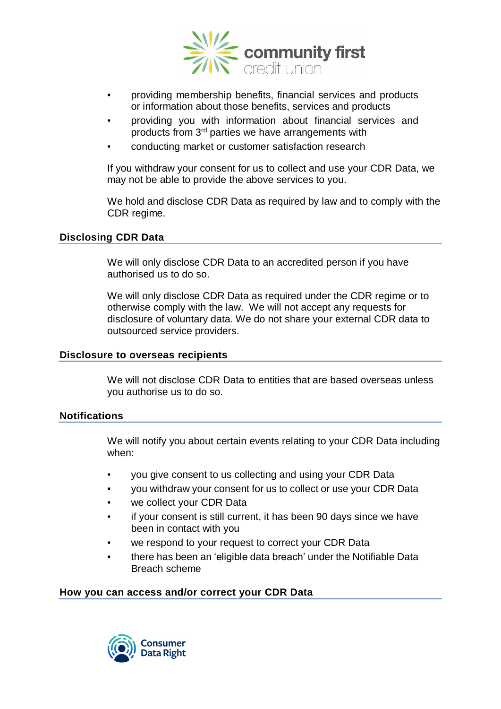

- providing membership benefits, financial services and products or information about those benefits, services and products
- providing you with information about financial services and products from 3<sup>rd</sup> parties we have arrangements with
- conducting market or customer satisfaction research

If you withdraw your consent for us to collect and use your CDR Data, we may not be able to provide the above services to you.

We hold and disclose CDR Data as required by law and to comply with the CDR regime.

#### **Disclosing CDR Data**

We will only disclose CDR Data to an accredited person if you have authorised us to do so.

We will only disclose CDR Data as required under the CDR regime or to otherwise comply with the law. We will not accept any requests for disclosure of voluntary data. We do not share your external CDR data to outsourced service providers.

#### **Disclosure to overseas recipients**

We will not disclose CDR Data to entities that are based overseas unless you authorise us to do so.

#### **Notifications**

We will notify you about certain events relating to your CDR Data including when:

- you give consent to us collecting and using your CDR Data
- you withdraw your consent for us to collect or use your CDR Data
- we collect your CDR Data
- if your consent is still current, it has been 90 days since we have been in contact with you
- we respond to your request to correct your CDR Data
- there has been an 'eligible data breach' under the Notifiable Data Breach scheme

#### **How you can access and/or correct your CDR Data**

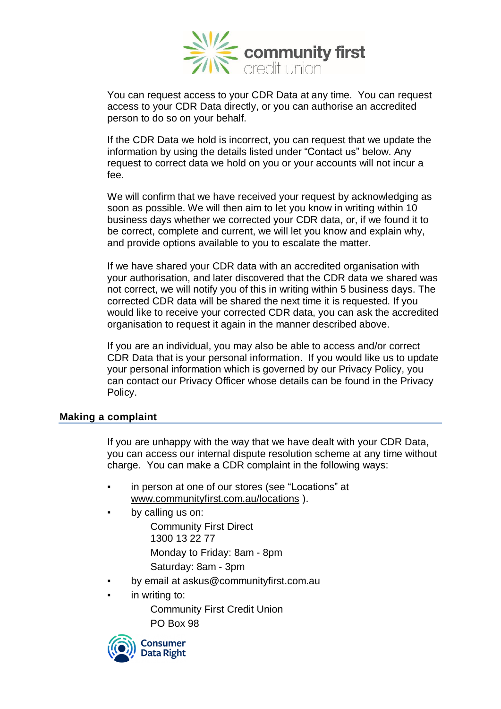

You can request access to your CDR Data at any time. You can request access to your CDR Data directly, or you can authorise an accredited person to do so on your behalf.

If the CDR Data we hold is incorrect, you can request that we update the information by using the details listed under "Contact us" below. Any request to correct data we hold on you or your accounts will not incur a fee.

We will confirm that we have received your request by acknowledging as soon as possible. We will then aim to let you know in writing within 10 business days whether we corrected your CDR data, or, if we found it to be correct, complete and current, we will let you know and explain why, and provide options available to you to escalate the matter.

If we have shared your CDR data with an accredited organisation with your authorisation, and later discovered that the CDR data we shared was not correct, we will notify you of this in writing within 5 business days. The corrected CDR data will be shared the next time it is requested. If you would like to receive your corrected CDR data, you can ask the accredited organisation to request it again in the manner described above.

If you are an individual, you may also be able to access and/or correct CDR Data that is your personal information. If you would like us to update your personal information which is governed by our Privacy Policy, you can contact our Privacy Officer whose details can be found in the Privacy Policy.

#### **Making a complaint**

If you are unhappy with the way that we have dealt with your CDR Data, you can access our internal dispute resolution scheme at any time without charge. You can make a CDR complaint in the following ways:

- in person at one of our stores (see "Locations" at [www.communityfirst.com.au/locations](http://www.communityfirst.com.au/locations) ).
- by calling us on:

Community First Direct 1300 13 22 77 Monday to Friday: 8am - 8pm Saturday: 8am - 3pm

- by email at askus@communityfirst.com.au
- in writing to:

Community First Credit Union PO Box 98

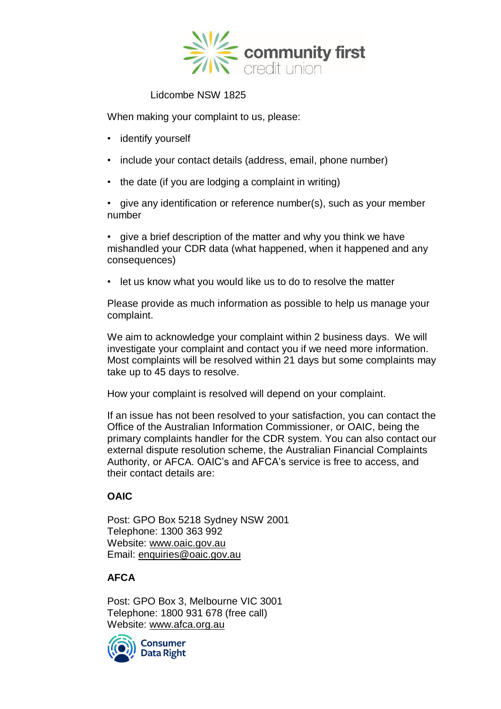

# Lidcombe NSW 1825

When making your complaint to us, please:

- identify yourself
- include your contact details (address, email, phone number)
- the date (if you are lodging a complaint in writing)

• give any identification or reference number(s), such as your member number

• give a brief description of the matter and why you think we have mishandled your CDR data (what happened, when it happened and any consequences)

• let us know what you would like us to do to resolve the matter

Please provide as much information as possible to help us manage your complaint.

We aim to acknowledge your complaint within 2 business days. We will investigate your complaint and contact you if we need more information. Most complaints will be resolved within 21 days but some complaints may take up to 45 days to resolve.

How your complaint is resolved will depend on your complaint.

If an issue has not been resolved to your satisfaction, you can contact the Office of the Australian Information Commissioner, or OAIC, being the primary complaints handler for the CDR system. You can also contact our external dispute resolution scheme, the Australian Financial Complaints Authority, or AFCA. OAIC's and AFCA's service is free to access, and their contact details are:

# **OAIC**

Post: GPO Box 5218 Sydney NSW 2001 Telephone: 1300 363 992 Website: [www.oaic.gov.au](http://www.oaic.gov.au/) Email: [enquiries@oaic.gov.au](mailto:enquiries@oaic.gov.au)

# **AFCA**

Post: GPO Box 3, Melbourne VIC 3001 Telephone: 1800 931 678 (free call) Website: [www.afca.org.au](http://www.afca.org.au/)